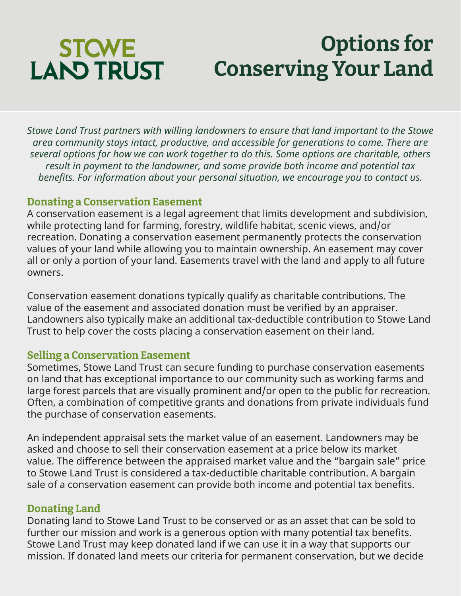# **STOWE LAND TRUST**

## **Options for Conserving Your Land**

*Stowe Land Trust partners with willing landowners to ensure that land important to the Stowe area community stays intact, productive, and accessible for generations to come. There are several options for how we can work together to do this. Some options are charitable, others result in payment to the landowner, and some provide both income and potential tax benefits. For information about your personal situation, we encourage you to contact us.*

### **Donating a Conservation Easement**

A conservation easement is a legal agreement that limits development and subdivision, while protecting land for farming, forestry, wildlife habitat, scenic views, and/or recreation. Donating a conservation easement permanently protects the conservation values of your land while allowing you to maintain ownership. An easement may cover all or only a portion of your land. Easements travel with the land and apply to all future owners.

Conservation easement donations typically qualify as charitable contributions. The value of the easement and associated donation must be verified by an appraiser. Landowners also typically make an additional tax-deductible contribution to Stowe Land Trust to help cover the costs placing a conservation easement on their land.

## **Selling a Conservation Easement**

Sometimes, Stowe Land Trust can secure funding to purchase conservation easements on land that has exceptional importance to our community such as working farms and large forest parcels that are visually prominent and/or open to the public for recreation. Often, a combination of competitive grants and donations from private individuals fund the purchase of conservation easements.

An independent appraisal sets the market value of an easement. Landowners may be asked and choose to sell their conservation easement at a price below its market value. The difference between the appraised market value and the "bargain sale" price to Stowe Land Trust is considered a tax-deductible charitable contribution. A bargain sale of a conservation easement can provide both income and potential tax benefits.

## **Donating Land**

Donating land to Stowe Land Trust to be conserved or as an asset that can be sold to further our mission and work is a generous option with many potential tax benefits. Stowe Land Trust may keep donated land if we can use it in a way that supports our mission. If donated land meets our criteria for permanent conservation, but we decide